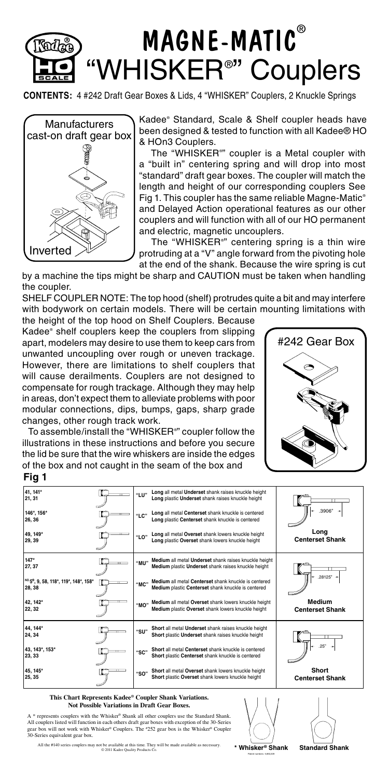

**CONTENTS:** 4 #242 Draft Gear Boxes & Lids, 4 "WHISKER" Couplers, 2 Knuckle Springs



Kadee® Standard, Scale & Shelf coupler heads have been designed & tested to function with all Kadee® HO & HOn3 Couplers.

 The "WHISKER® " coupler is a Metal coupler with a "built in" centering spring and will drop into most "standard" draft gear boxes. The coupler will match the length and height of our corresponding couplers See Fig 1. This coupler has the same reliable Magne-Matic® and Delayed Action operational features as our other couplers and will function with all of our HO permanent and electric, magnetic uncouplers.

 The "WHISKER® " centering spring is a thin wire protruding at a "V" angle forward from the pivoting hole at the end of the shank. Because the wire spring is cut

by a machine the tips might be sharp and CAUTION must be taken when handling the coupler.

SHELF COUPLER NOTE: The top hood (shelf) protrudes quite a bit and may interfere with bodywork on certain models. There will be certain mounting limitations with

the height of the top hood on Shelf Couplers. Because Kadee® shelf couplers keep the couplers from slipping apart, modelers may desire to use them to keep cars from unwanted uncoupling over rough or uneven trackage. However, there are limitations to shelf couplers that will cause derailments. Couplers are not designed to compensate for rough trackage. Although they may help in areas, don't expect them to alleviate problems with poor modular connections, dips, bumps, gaps, sharp grade changes, other rough track work.

#242 Gear Box

 To assemble/install the "WHISKER® " coupler follow the illustrations in these instructions and before you secure the lid be sure that the wire whiskers are inside the edges of the box and not caught in the seam of the box and

## **Fig 1**

| 41.141*<br>21.31                                                        | "LP"  | Long all metal Underset shank raises knuckle height<br>Long plastic Underset shank raises knuckle height     |                                  |
|-------------------------------------------------------------------------|-------|--------------------------------------------------------------------------------------------------------------|----------------------------------|
| 146*, 156*<br>26.36                                                     | "I C" | Long all metal Centerset shank knuckle is centered<br>Long plastic Centerset shank knuckle is centered       | .3906"                           |
| 49.149*<br>29.39                                                        | "LO"  | Long all metal Overset shank lowers knuckle height<br>Long plastic Overset shank lowers knuckle height       | Long<br><b>Centerset Shank</b>   |
| $147*$<br>27, 37                                                        | "MII" | Medium all metal Underset shank raises knuckle height<br>Medium plastic Underset shank raises knuckle height |                                  |
| <sup>NO.</sup> 5 <sup>®</sup> , 9, 58, 118*, 119*, 148*, 158*<br>28, 38 | "мс"  | Medium all metal Centerset shank knuckle is centered<br>Medium plastic Centerset shank knuckle is centered   | $.28125"$ +                      |
| 42. 142*<br>22, 32                                                      | "MO"  | Medium all metal Overset shank lowers knuckle height<br>Medium plastic Overset shank lowers knuckle height   | Medium<br><b>Centerset Shank</b> |
| 44.144*<br>24.34                                                        | "SU"  | Short all metal Underset shank raises knuckle height<br>Short plastic Underset shank raises knuckle height   |                                  |
| 43, 143*, 153*<br>23, 33                                                | "SC"  | Short all metal Centerset shank knuckle is centered<br>Short plastic Centerset shank knuckle is centered     | .25"                             |
| 45.145*<br>25, 35                                                       | "SO"  | Short all metal Overset shank lowers knuckle height<br>Short plastic Overset shank lowers knuckle height     | Short<br><b>Centerset Shank</b>  |

## **This Chart Represents Kadee® Coupler Shank Variations. Not Possible Variations in Draft Gear Boxes.**

A \* represents couplers with the Whisker® Shank all other couplers use the Standard Shank. All couplers listed will function in each others draft gear boxes with exception of the 30-Series and box will Mhisker® Coupler (30-Series 30-Series equivalent gear box.

Patent numbers 5,662,229